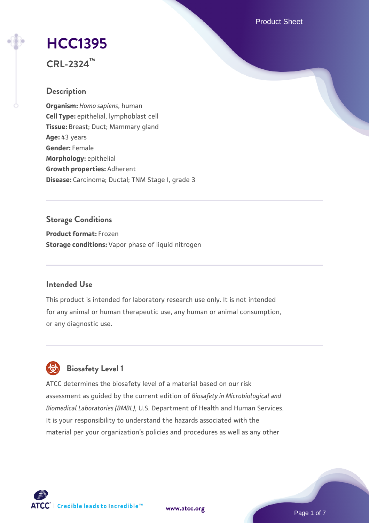Product Sheet

# **[HCC1395](https://www.atcc.org/products/crl-2324)**

**CRL-2324™**

# **Description**

**Organism:** *Homo sapiens*, human **Cell Type:** epithelial, lymphoblast cell **Tissue:** Breast; Duct; Mammary gland **Age:** 43 years **Gender:** Female **Morphology:** epithelial **Growth properties:** Adherent **Disease:** Carcinoma; Ductal; TNM Stage I, grade 3

# **Storage Conditions**

**Product format:** Frozen **Storage conditions:** Vapor phase of liquid nitrogen

# **Intended Use**

This product is intended for laboratory research use only. It is not intended for any animal or human therapeutic use, any human or animal consumption, or any diagnostic use.



# **Biosafety Level 1**

ATCC determines the biosafety level of a material based on our risk assessment as guided by the current edition of *Biosafety in Microbiological and Biomedical Laboratories (BMBL)*, U.S. Department of Health and Human Services. It is your responsibility to understand the hazards associated with the material per your organization's policies and procedures as well as any other

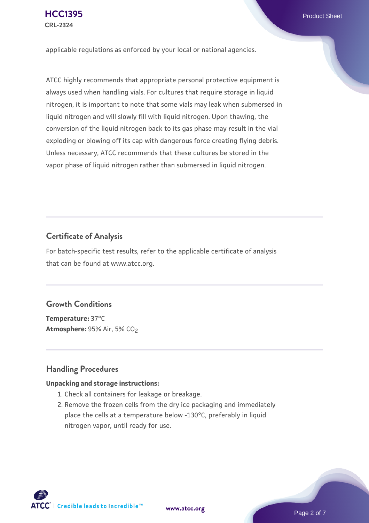applicable regulations as enforced by your local or national agencies.

ATCC highly recommends that appropriate personal protective equipment is always used when handling vials. For cultures that require storage in liquid nitrogen, it is important to note that some vials may leak when submersed in liquid nitrogen and will slowly fill with liquid nitrogen. Upon thawing, the conversion of the liquid nitrogen back to its gas phase may result in the vial exploding or blowing off its cap with dangerous force creating flying debris. Unless necessary, ATCC recommends that these cultures be stored in the vapor phase of liquid nitrogen rather than submersed in liquid nitrogen.

# **Certificate of Analysis**

For batch-specific test results, refer to the applicable certificate of analysis that can be found at www.atcc.org.

# **Growth Conditions**

**Temperature:** 37°C **Atmosphere: 95% Air, 5% CO<sub>2</sub>** 

# **Handling Procedures**

#### **Unpacking and storage instructions:**

- 1. Check all containers for leakage or breakage.
- 2. Remove the frozen cells from the dry ice packaging and immediately place the cells at a temperature below -130°C, preferably in liquid nitrogen vapor, until ready for use.

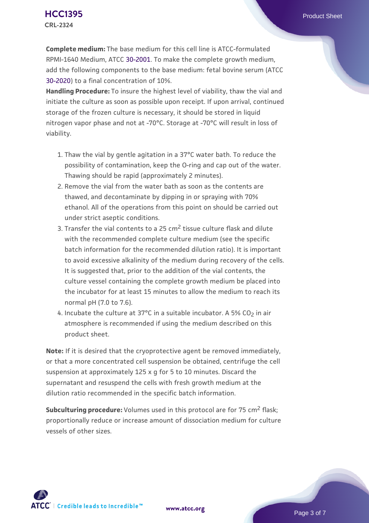**Complete medium:** The base medium for this cell line is ATCC-formulated RPMI-1640 Medium, ATCC [30-2001.](https://www.atcc.org/Products/All/30-2001.aspx) To make the complete growth medium, add the following components to the base medium: fetal bovine serum (ATCC [30-2020\)](https://www.atcc.org/Products/All/30-2020.aspx) to a final concentration of 10%.

**Handling Procedure:** To insure the highest level of viability, thaw the vial and initiate the culture as soon as possible upon receipt. If upon arrival, continued storage of the frozen culture is necessary, it should be stored in liquid nitrogen vapor phase and not at -70°C. Storage at -70°C will result in loss of viability.

- 1. Thaw the vial by gentle agitation in a 37°C water bath. To reduce the  $\,$ possibility of contamination, keep the O-ring and cap out of the water. Thawing should be rapid (approximately 2 minutes).
- 2. Remove the vial from the water bath as soon as the contents are thawed, and decontaminate by dipping in or spraying with 70% ethanol. All of the operations from this point on should be carried out under strict aseptic conditions.
- 3. Transfer the vial contents to a 25 cm<sup>2</sup> tissue culture flask and dilute with the recommended complete culture medium (see the specific batch information for the recommended dilution ratio). It is important to avoid excessive alkalinity of the medium during recovery of the cells. It is suggested that, prior to the addition of the vial contents, the culture vessel containing the complete growth medium be placed into the incubator for at least 15 minutes to allow the medium to reach its normal pH (7.0 to 7.6).
- 4. Incubate the culture at 37°C in a suitable incubator. A 5% CO<sub>2</sub> in air atmosphere is recommended if using the medium described on this product sheet.

**Note:** If it is desired that the cryoprotective agent be removed immediately, or that a more concentrated cell suspension be obtained, centrifuge the cell suspension at approximately 125 x g for 5 to 10 minutes. Discard the supernatant and resuspend the cells with fresh growth medium at the dilution ratio recommended in the specific batch information.

**Subculturing procedure:** Volumes used in this protocol are for 75 cm2 flask; proportionally reduce or increase amount of dissociation medium for culture vessels of other sizes.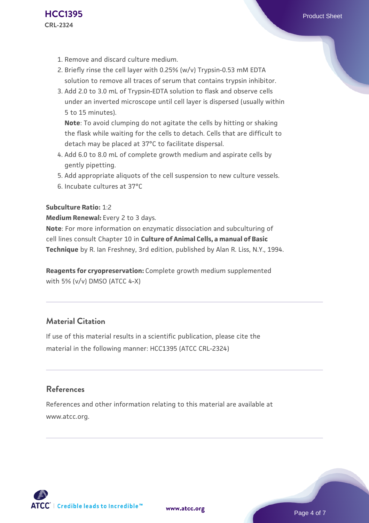- 1. Remove and discard culture medium.
- 2. Briefly rinse the cell layer with 0.25% (w/v) Trypsin-0.53 mM EDTA solution to remove all traces of serum that contains trypsin inhibitor.
- 3. Add 2.0 to 3.0 mL of Trypsin-EDTA solution to flask and observe cells under an inverted microscope until cell layer is dispersed (usually within 5 to 15 minutes).

**Note**: To avoid clumping do not agitate the cells by hitting or shaking the flask while waiting for the cells to detach. Cells that are difficult to detach may be placed at 37°C to facilitate dispersal.

- Add 6.0 to 8.0 mL of complete growth medium and aspirate cells by 4. gently pipetting.
- 5. Add appropriate aliquots of the cell suspension to new culture vessels.
- 6. Incubate cultures at 37°C

#### **Subculture Ratio:** 1:2

#### **Medium Renewal:** Every 2 to 3 days.

**Note**: For more information on enzymatic dissociation and subculturing of cell lines consult Chapter 10 in **Culture of Animal Cells, a manual of Basic Technique** by R. Ian Freshney, 3rd edition, published by Alan R. Liss, N.Y., 1994.

**Reagents for cryopreservation:** Complete growth medium supplemented with 5% (v/v) DMSO (ATCC 4-X)

# **Material Citation**

If use of this material results in a scientific publication, please cite the material in the following manner: HCC1395 (ATCC CRL-2324)

# **References**

References and other information relating to this material are available at www.atcc.org.

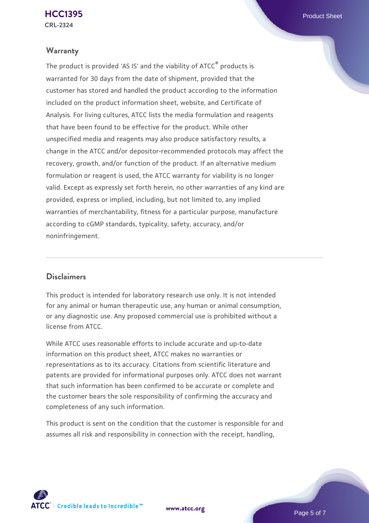### **Warranty**

The product is provided 'AS IS' and the viability of ATCC® products is warranted for 30 days from the date of shipment, provided that the customer has stored and handled the product according to the information included on the product information sheet, website, and Certificate of Analysis. For living cultures, ATCC lists the media formulation and reagents that have been found to be effective for the product. While other unspecified media and reagents may also produce satisfactory results, a change in the ATCC and/or depositor-recommended protocols may affect the recovery, growth, and/or function of the product. If an alternative medium formulation or reagent is used, the ATCC warranty for viability is no longer valid. Except as expressly set forth herein, no other warranties of any kind are provided, express or implied, including, but not limited to, any implied warranties of merchantability, fitness for a particular purpose, manufacture according to cGMP standards, typicality, safety, accuracy, and/or noninfringement.

# **Disclaimers**

This product is intended for laboratory research use only. It is not intended for any animal or human therapeutic use, any human or animal consumption, or any diagnostic use. Any proposed commercial use is prohibited without a license from ATCC.

While ATCC uses reasonable efforts to include accurate and up-to-date information on this product sheet, ATCC makes no warranties or representations as to its accuracy. Citations from scientific literature and patents are provided for informational purposes only. ATCC does not warrant that such information has been confirmed to be accurate or complete and the customer bears the sole responsibility of confirming the accuracy and completeness of any such information.

This product is sent on the condition that the customer is responsible for and assumes all risk and responsibility in connection with the receipt, handling,



**[www.atcc.org](http://www.atcc.org)**

Page 5 of 7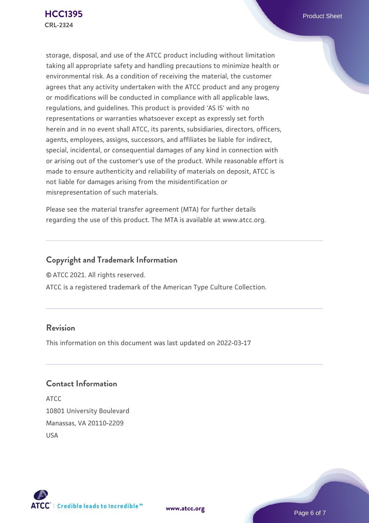storage, disposal, and use of the ATCC product including without limitation taking all appropriate safety and handling precautions to minimize health or environmental risk. As a condition of receiving the material, the customer agrees that any activity undertaken with the ATCC product and any progeny or modifications will be conducted in compliance with all applicable laws, regulations, and guidelines. This product is provided 'AS IS' with no representations or warranties whatsoever except as expressly set forth herein and in no event shall ATCC, its parents, subsidiaries, directors, officers, agents, employees, assigns, successors, and affiliates be liable for indirect, special, incidental, or consequential damages of any kind in connection with or arising out of the customer's use of the product. While reasonable effort is made to ensure authenticity and reliability of materials on deposit, ATCC is not liable for damages arising from the misidentification or misrepresentation of such materials.

Please see the material transfer agreement (MTA) for further details regarding the use of this product. The MTA is available at www.atcc.org.

# **Copyright and Trademark Information**

© ATCC 2021. All rights reserved.

ATCC is a registered trademark of the American Type Culture Collection.

# **Revision**

This information on this document was last updated on 2022-03-17

# **Contact Information**

ATCC 10801 University Boulevard Manassas, VA 20110-2209 USA